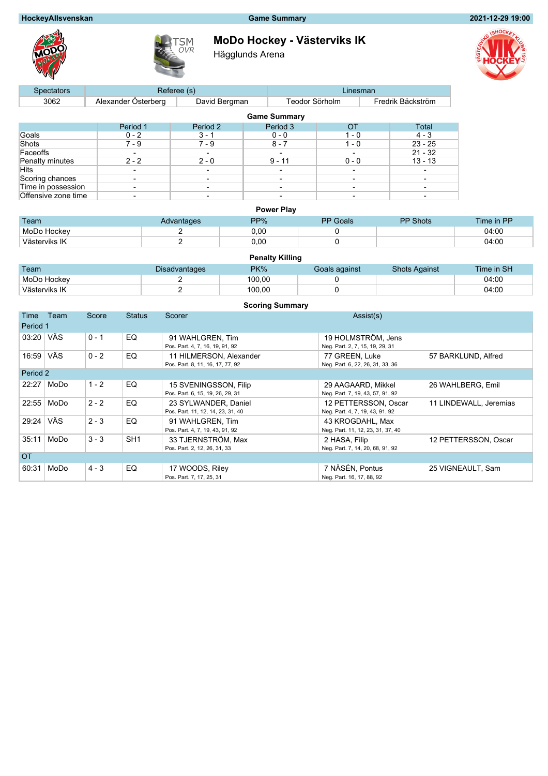# **HockeyAllsvenskan Game Summary 2021-12-29 19:00**





**MoDo Hockey - Västerviks IK**

Hägglunds Arena



| <b>Spectators</b>   |                          | Referee (s)   | Linesman |                |                          |  |                          |  |  |  |  |
|---------------------|--------------------------|---------------|----------|----------------|--------------------------|--|--------------------------|--|--|--|--|
| 3062                | Alexander Österberg      | David Bergman |          | Teodor Sörholm |                          |  | Fredrik Bäckström        |  |  |  |  |
| <b>Game Summary</b> |                          |               |          |                |                          |  |                          |  |  |  |  |
|                     | Period 1                 | Period 2      |          | Period 3       | ОT                       |  | Total                    |  |  |  |  |
| Goals               | $0 - 2$                  | $3 - 1$       |          | $0 - 0$        | $1 - 0$                  |  | $4 - 3$                  |  |  |  |  |
| Shots               | $7 - 9$                  | $7 - 9$       |          | $8 - 7$        | $1 - 0$                  |  | $23 - 25$                |  |  |  |  |
| Faceoffs            |                          |               |          |                | $\overline{\phantom{a}}$ |  | $21 - 32$                |  |  |  |  |
| Penalty minutes     | $2 - 2$                  | $2 - 0$       |          | $9 - 11$       | $0 - 0$                  |  | $13 - 13$                |  |  |  |  |
| Hits                |                          |               |          |                | $\overline{\phantom{a}}$ |  |                          |  |  |  |  |
| Scoring chances     | $\overline{\phantom{a}}$ |               |          | -              | ۰                        |  | $\overline{\phantom{a}}$ |  |  |  |  |
| Time in possession  | $\overline{\phantom{0}}$ |               |          |                | $\overline{\phantom{a}}$ |  |                          |  |  |  |  |
| Offensive zone time | ٠                        |               |          |                |                          |  |                          |  |  |  |  |

|               |            | <b>Power Play</b> |                 |                 |            |
|---------------|------------|-------------------|-----------------|-----------------|------------|
| Team          | Advantages | PP%               | <b>PP</b> Goals | <b>PP Shots</b> | Time in PP |
| MoDo Hockey   |            | 0.00              |                 |                 | 04:00      |
| Västerviks IK |            | 0,00              |                 |                 | 04:00      |

|               |                      | <b>Penalty Killing</b> |               |                      |            |
|---------------|----------------------|------------------------|---------------|----------------------|------------|
| <b>Team</b>   | <b>Disadvantages</b> | $PK\%$                 | Goals against | <b>Shots Against</b> | Time in SH |
| MoDo Hockey   |                      | 100.00                 |               |                      | 04:00      |
| Västerviks IK |                      | 100.00                 |               |                      | 04:00      |

|           | <b>Scoring Summary</b> |         |                 |                                                             |                                                         |                        |  |  |  |
|-----------|------------------------|---------|-----------------|-------------------------------------------------------------|---------------------------------------------------------|------------------------|--|--|--|
| Time      | Team                   | Score   | <b>Status</b>   | Scorer                                                      | Assist(s)                                               |                        |  |  |  |
| Period 1  |                        |         |                 |                                                             |                                                         |                        |  |  |  |
| 03:20     | ∣ VÄS                  | $0 - 1$ | EQ              | 91 WAHLGREN, Tim<br>Pos. Part. 4, 7, 16, 19, 91, 92         | 19 HOLMSTRÖM, Jens<br>Neg. Part. 2, 7, 15, 19, 29, 31   |                        |  |  |  |
| 16:59     | VÄS                    | $0 - 2$ | EQ              | 11 HILMERSON, Alexander<br>Pos. Part. 8, 11, 16, 17, 77, 92 | 77 GREEN, Luke<br>Neg. Part. 6, 22, 26, 31, 33, 36      | 57 BARKLUND, Alfred    |  |  |  |
| Period 2  |                        |         |                 |                                                             |                                                         |                        |  |  |  |
| 22:27     | MoDo                   | $1 - 2$ | EQ              | 15 SVENINGSSON, Filip<br>Pos. Part. 6, 15, 19, 26, 29, 31   | 29 AAGAARD, Mikkel<br>Neg. Part. 7, 19, 43, 57, 91, 92  | 26 WAHLBERG, Emil      |  |  |  |
| 22:55     | MoDo                   | $2 - 2$ | EQ              | 23 SYLWANDER, Daniel<br>Pos. Part. 11, 12, 14, 23, 31, 40   | 12 PETTERSSON, Oscar<br>Neg. Part. 4, 7, 19, 43, 91, 92 | 11 LINDEWALL, Jeremias |  |  |  |
| 29:24     | <b>VÄS</b>             | $2 - 3$ | EQ              | 91 WAHLGREN, Tim<br>Pos. Part. 4, 7, 19, 43, 91, 92         | 43 KROGDAHL, Max<br>Neg. Part. 11, 12, 23, 31, 37, 40   |                        |  |  |  |
| 35:11     | MoDo                   | $3 - 3$ | SH <sub>1</sub> | 33 TJERNSTRÖM, Max<br>Pos. Part. 2, 12, 26, 31, 33          | 2 HASA, Filip<br>Neg. Part. 7, 14, 20, 68, 91, 92       | 12 PETTERSSON, Oscar   |  |  |  |
| <b>OT</b> |                        |         |                 |                                                             |                                                         |                        |  |  |  |
| 60:31     | MoDo                   | $4 - 3$ | EQ              | 17 WOODS, Riley<br>Pos. Part. 7, 17, 25, 31                 | 7 NÄSÉN, Pontus<br>Neg. Part. 16, 17, 88, 92            | 25 VIGNEAULT, Sam      |  |  |  |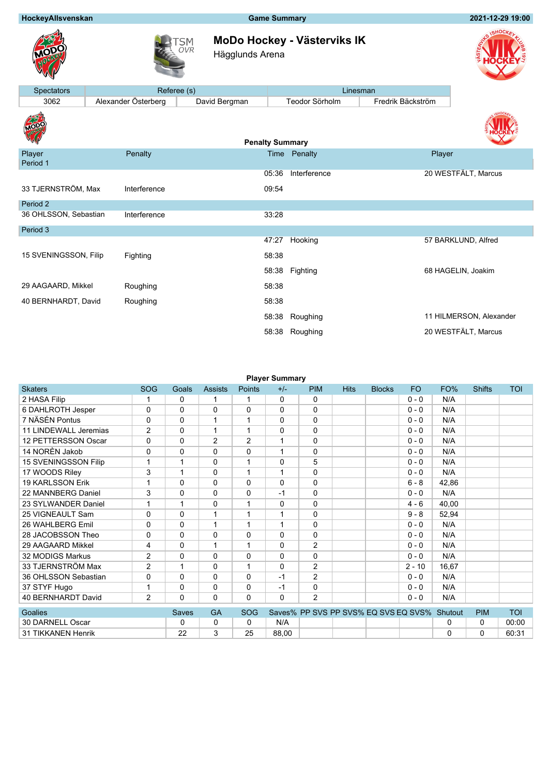## **HockeyAllsvenskan Game Summary 2021-12-29 19:00**





**MoDo Hockey - Västerviks IK**

Hägglunds Arena



| <b>Spectators</b>     | Referee (s)         |                        |       | Linesman       |                   |                         |
|-----------------------|---------------------|------------------------|-------|----------------|-------------------|-------------------------|
| 3062                  | Alexander Österberg | David Bergman          |       | Teodor Sörholm | Fredrik Bäckström |                         |
| <b>TOP!</b>           |                     | <b>Penalty Summary</b> |       |                |                   |                         |
| Player<br>Period 1    | Penalty             |                        |       | Time Penalty   | Player            |                         |
|                       |                     |                        | 05:36 | Interference   |                   | 20 WESTFÄLT, Marcus     |
| 33 TJERNSTRÖM, Max    | Interference        |                        | 09:54 |                |                   |                         |
| Period 2              |                     |                        |       |                |                   |                         |
| 36 OHLSSON, Sebastian | Interference        |                        | 33:28 |                |                   |                         |
| Period 3              |                     |                        |       |                |                   |                         |
|                       |                     |                        | 47:27 | Hooking        |                   | 57 BARKLUND, Alfred     |
| 15 SVENINGSSON, Filip | Fighting            |                        | 58:38 |                |                   |                         |
|                       |                     |                        | 58:38 | Fighting       |                   | 68 HAGELIN, Joakim      |
| 29 AAGAARD, Mikkel    | Roughing            |                        | 58:38 |                |                   |                         |
| 40 BERNHARDT, David   | Roughing            |                        | 58:38 |                |                   |                         |
|                       |                     |                        | 58:38 | Roughing       |                   | 11 HILMERSON, Alexander |
|                       |                     |                        | 58:38 | Roughing       |                   | 20 WESTFÄLT, Marcus     |

| <b>Player Summary</b>     |                |              |                |               |              |                |                                              |               |           |       |               |            |
|---------------------------|----------------|--------------|----------------|---------------|--------------|----------------|----------------------------------------------|---------------|-----------|-------|---------------|------------|
| <b>Skaters</b>            | <b>SOG</b>     | Goals        | <b>Assists</b> | <b>Points</b> | $+/-$        | <b>PIM</b>     | <b>Hits</b>                                  | <b>Blocks</b> | <b>FO</b> | FO%   | <b>Shifts</b> | <b>TOI</b> |
| 2 HASA Filip              |                | $\Omega$     |                | 1             | $\mathbf{0}$ | $\Omega$       |                                              |               | $0 - 0$   | N/A   |               |            |
| 6 DAHLROTH Jesper         | 0              | $\Omega$     | $\Omega$       | $\Omega$      | 0            | $\Omega$       |                                              |               | $0 - 0$   | N/A   |               |            |
| 7 NÄSÉN Pontus            | $\Omega$       | $\Omega$     | $\mathbf 1$    | 1             | 0            | $\Omega$       |                                              |               | $0 - 0$   | N/A   |               |            |
| 11 LINDEWALL Jeremias     | $\overline{2}$ | $\Omega$     | $\mathbf 1$    | 1             | 0            | $\Omega$       |                                              |               | $0 - 0$   | N/A   |               |            |
| 12 PETTERSSON Oscar       | 0              | $\Omega$     | 2              | 2             | $\mathbf{1}$ | 0              |                                              |               | $0 - 0$   | N/A   |               |            |
| 14 NORÈN Jakob            | 0              | 0            | 0              | 0             | $\mathbf{1}$ | $\mathbf 0$    |                                              |               | $0 - 0$   | N/A   |               |            |
| 15 SVENINGSSON Filip      | 1              | 1            | $\Omega$       | 1             | 0            | 5              |                                              |               | $0 - 0$   | N/A   |               |            |
| 17 WOODS Riley            | 3              | 1            | $\Omega$       | 1             | $\mathbf{1}$ | $\Omega$       |                                              |               | $0 - 0$   | N/A   |               |            |
| <b>19 KARLSSON Erik</b>   | 1              | $\Omega$     | $\Omega$       | $\Omega$      | $\Omega$     | $\Omega$       |                                              |               | $6 - 8$   | 42,86 |               |            |
| 22 MANNBERG Daniel        | 3              | $\Omega$     | $\Omega$       | $\Omega$      | $-1$         | $\Omega$       |                                              |               | $0 - 0$   | N/A   |               |            |
| 23 SYLWANDER Daniel       | 1              | 1            | 0              | 1             | 0            | $\Omega$       |                                              |               | $4 - 6$   | 40,00 |               |            |
| 25 VIGNEAULT Sam          | $\Omega$       | $\Omega$     | 1              | 1             | 1            | $\Omega$       |                                              |               | $9 - 8$   | 52,94 |               |            |
| 26 WAHLBERG Emil          | $\Omega$       | $\Omega$     | $\mathbf 1$    | 1             | $\mathbf 1$  | $\Omega$       |                                              |               | $0 - 0$   | N/A   |               |            |
| 28 JACOBSSON Theo         | $\Omega$       | $\Omega$     | $\Omega$       | $\Omega$      | 0            | $\Omega$       |                                              |               | $0 - 0$   | N/A   |               |            |
| 29 AAGAARD Mikkel         | 4              | $\Omega$     | $\mathbf 1$    | 1             | 0            | $\overline{2}$ |                                              |               | $0 - 0$   | N/A   |               |            |
| 32 MODIGS Markus          | $\overline{2}$ | 0            | $\Omega$       | $\Omega$      | 0            | $\mathbf{0}$   |                                              |               | $0 - 0$   | N/A   |               |            |
| 33 TJERNSTRÖM Max         | $\overline{2}$ | 1            | $\Omega$       | 1             | 0            | 2              |                                              |               | $2 - 10$  | 16.67 |               |            |
| 36 OHLSSON Sebastian      | 0              | $\Omega$     | $\Omega$       | $\Omega$      | $-1$         | $\overline{2}$ |                                              |               | $0 - 0$   | N/A   |               |            |
| 37 STYF Hugo              | 1              | 0            | $\Omega$       | $\mathbf{0}$  | $-1$         | $\Omega$       |                                              |               | $0 - 0$   | N/A   |               |            |
| <b>40 BERNHARDT David</b> | $\overline{2}$ | 0            | $\Omega$       | $\Omega$      | 0            | $\overline{2}$ |                                              |               | $0 - 0$   | N/A   |               |            |
| Goalies                   |                | <b>Saves</b> | <b>GA</b>      | <b>SOG</b>    |              |                | Saves% PP SVS PP SVS% EQ SVS EQ SVS% Shutout |               |           |       | <b>PIM</b>    | <b>TOI</b> |
| 30 DARNELL Oscar          |                | 0            | 0              | $\mathbf{0}$  | N/A          |                |                                              |               |           | 0     | 0             | 00:00      |
| 31 TIKKANEN Henrik        |                | 22           | 3              | 25            | 88,00        |                |                                              |               |           | 0     | $\Omega$      | 60:31      |